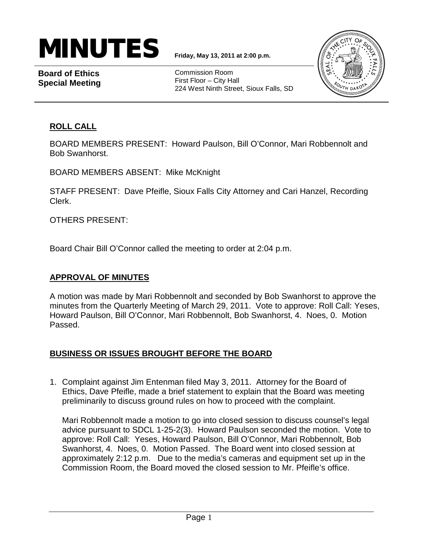# $\textbf{MINUTES}$   $_{\text{Friday, May 13, 2011 at 2:00 p.m.}}$

**Board of Ethics Special Meeting**

Commission Room First Floor – City Hall 224 West Ninth Street, Sioux Falls, SD



## **ROLL CALL**

BOARD MEMBERS PRESENT: Howard Paulson, Bill O'Connor, Mari Robbennolt and Bob Swanhorst.

BOARD MEMBERS ABSENT: Mike McKnight

STAFF PRESENT: Dave Pfeifle, Sioux Falls City Attorney and Cari Hanzel, Recording Clerk.

OTHERS PRESENT:

Board Chair Bill O'Connor called the meeting to order at 2:04 p.m.

### **APPROVAL OF MINUTES**

A motion was made by Mari Robbennolt and seconded by Bob Swanhorst to approve the minutes from the Quarterly Meeting of March 29, 2011. Vote to approve: Roll Call: Yeses, Howard Paulson, Bill O'Connor, Mari Robbennolt, Bob Swanhorst, 4. Noes, 0. Motion Passed.

### **BUSINESS OR ISSUES BROUGHT BEFORE THE BOARD**

1. Complaint against Jim Entenman filed May 3, 2011. Attorney for the Board of Ethics, Dave Pfeifle, made a brief statement to explain that the Board was meeting preliminarily to discuss ground rules on how to proceed with the complaint.

Mari Robbennolt made a motion to go into closed session to discuss counsel's legal advice pursuant to SDCL 1-25-2(3). Howard Paulson seconded the motion. Vote to approve: Roll Call: Yeses, Howard Paulson, Bill O'Connor, Mari Robbennolt, Bob Swanhorst, 4. Noes, 0. Motion Passed. The Board went into closed session at approximately 2:12 p.m. Due to the media's cameras and equipment set up in the Commission Room, the Board moved the closed session to Mr. Pfeifle's office.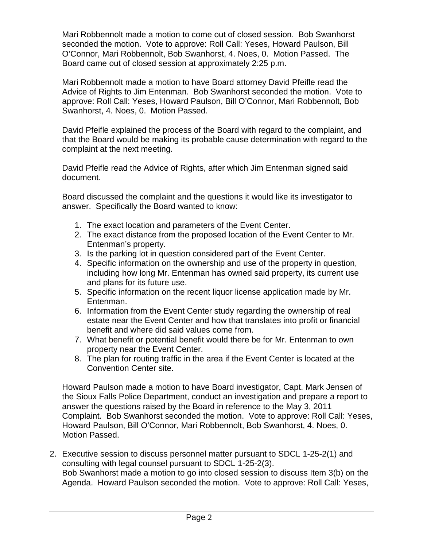Mari Robbennolt made a motion to come out of closed session. Bob Swanhorst seconded the motion. Vote to approve: Roll Call: Yeses, Howard Paulson, Bill O'Connor, Mari Robbennolt, Bob Swanhorst, 4. Noes, 0. Motion Passed. The Board came out of closed session at approximately 2:25 p.m.

Mari Robbennolt made a motion to have Board attorney David Pfeifle read the Advice of Rights to Jim Entenman. Bob Swanhorst seconded the motion. Vote to approve: Roll Call: Yeses, Howard Paulson, Bill O'Connor, Mari Robbennolt, Bob Swanhorst, 4. Noes, 0. Motion Passed.

David Pfeifle explained the process of the Board with regard to the complaint, and that the Board would be making its probable cause determination with regard to the complaint at the next meeting.

David Pfeifle read the Advice of Rights, after which Jim Entenman signed said document.

Board discussed the complaint and the questions it would like its investigator to answer. Specifically the Board wanted to know:

- 1. The exact location and parameters of the Event Center.
- 2. The exact distance from the proposed location of the Event Center to Mr. Entenman's property.
- 3. Is the parking lot in question considered part of the Event Center.
- 4. Specific information on the ownership and use of the property in question, including how long Mr. Entenman has owned said property, its current use and plans for its future use.
- 5. Specific information on the recent liquor license application made by Mr. Entenman.
- 6. Information from the Event Center study regarding the ownership of real estate near the Event Center and how that translates into profit or financial benefit and where did said values come from.
- 7. What benefit or potential benefit would there be for Mr. Entenman to own property near the Event Center.
- 8. The plan for routing traffic in the area if the Event Center is located at the Convention Center site.

Howard Paulson made a motion to have Board investigator, Capt. Mark Jensen of the Sioux Falls Police Department, conduct an investigation and prepare a report to answer the questions raised by the Board in reference to the May 3, 2011 Complaint. Bob Swanhorst seconded the motion. Vote to approve: Roll Call: Yeses, Howard Paulson, Bill O'Connor, Mari Robbennolt, Bob Swanhorst, 4. Noes, 0. Motion Passed.

2. Executive session to discuss personnel matter pursuant to SDCL 1-25-2(1) and consulting with legal counsel pursuant to SDCL 1-25-2(3). Bob Swanhorst made a motion to go into closed session to discuss Item 3(b) on the Agenda. Howard Paulson seconded the motion. Vote to approve: Roll Call: Yeses,